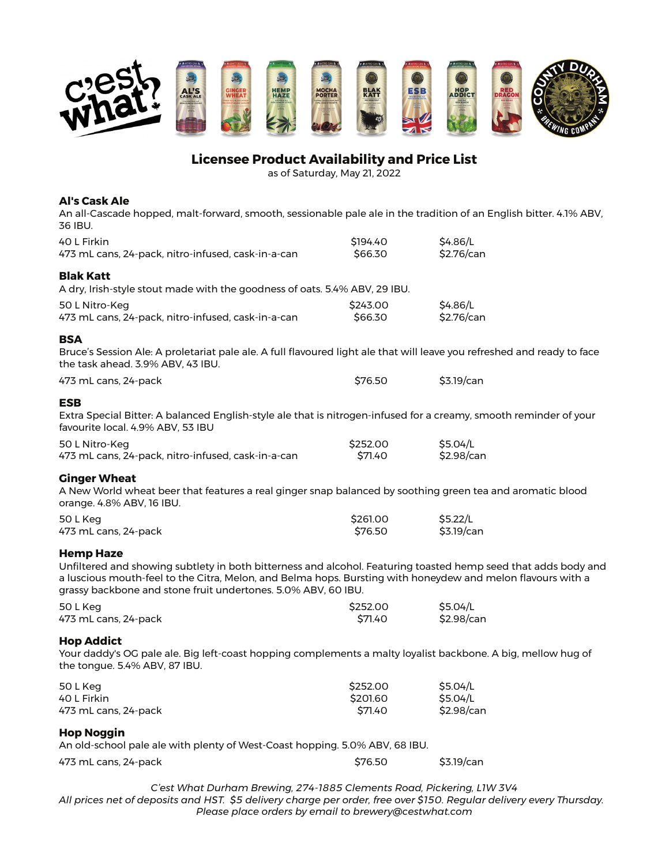

# **Licensee Product Availability and Price List**

as of Saturday, May 21, 2022

## **Al's Cask Ale**

An all-Cascade hopped, malt-forward, smooth, sessionable pale ale in the tradition of an English bitter. 4.1% ABV, 36 IBU.

| 40 L Firkin<br>473 mL cans, 24-pack, nitro-infused, cask-in-a-can                                                                                                                                                                                                                                                  | \$194.40<br>\$66.30             | \$4.86/L<br>\$2.76/can             |
|--------------------------------------------------------------------------------------------------------------------------------------------------------------------------------------------------------------------------------------------------------------------------------------------------------------------|---------------------------------|------------------------------------|
| <b>Blak Katt</b>                                                                                                                                                                                                                                                                                                   |                                 |                                    |
| A dry, Irish-style stout made with the goodness of oats. 5.4% ABV, 29 IBU.                                                                                                                                                                                                                                         |                                 |                                    |
| 50 L Nitro-Keg<br>473 mL cans, 24-pack, nitro-infused, cask-in-a-can                                                                                                                                                                                                                                               | \$243.00<br>\$66.30             | \$4.86/L<br>\$2.76/can             |
| <b>BSA</b>                                                                                                                                                                                                                                                                                                         |                                 |                                    |
| Bruce's Session Ale: A proletariat pale ale. A full flavoured light ale that will leave you refreshed and ready to face<br>the task ahead. 3.9% ABV, 43 IBU.                                                                                                                                                       |                                 |                                    |
| 473 mL cans, 24-pack                                                                                                                                                                                                                                                                                               | \$76.50                         | \$3.19/can                         |
| <b>ESB</b>                                                                                                                                                                                                                                                                                                         |                                 |                                    |
| Extra Special Bitter: A balanced English-style ale that is nitrogen-infused for a creamy, smooth reminder of your<br>favourite local. 4.9% ABV, 53 IBU                                                                                                                                                             |                                 |                                    |
| 50 L Nitro-Keg                                                                                                                                                                                                                                                                                                     | \$252.00                        | \$5.04/L                           |
| 473 mL cans, 24-pack, nitro-infused, cask-in-a-can                                                                                                                                                                                                                                                                 | \$71.40                         | \$2.98/can                         |
| <b>Ginger Wheat</b><br>A New World wheat beer that features a real ginger snap balanced by soothing green tea and aromatic blood<br>orange. 4.8% ABV, 16 IBU.                                                                                                                                                      |                                 |                                    |
| 50 L Keg<br>473 mL cans, 24-pack                                                                                                                                                                                                                                                                                   | \$261.00<br>\$76.50             | \$5.22/L<br>\$3.19/can             |
| <b>Hemp Haze</b><br>Unfiltered and showing subtlety in both bitterness and alcohol. Featuring toasted hemp seed that adds body and<br>a luscious mouth-feel to the Citra, Melon, and Belma hops. Bursting with honeydew and melon flavours with a<br>grassy backbone and stone fruit undertones. 5.0% ABV, 60 IBU. |                                 |                                    |
| 50 L Keg<br>473 mL cans, 24-pack                                                                                                                                                                                                                                                                                   | \$252.00<br>\$71.40             | \$5.04/L<br>\$2.98/can             |
| <b>Hop Addict</b><br>Your daddy's OG pale ale. Big left-coast hopping complements a malty loyalist backbone. A big, mellow hug of<br>the tongue. 5.4% ABV, 87 IBU.                                                                                                                                                 |                                 |                                    |
| 50 L Keg<br>40 L Firkin<br>473 mL cans, 24-pack                                                                                                                                                                                                                                                                    | \$252.00<br>\$201.60<br>\$71.40 | \$5.04/L<br>\$5.04/L<br>\$2.98/can |
| <b>Hop Noggin</b><br>An old-school pale ale with plenty of West-Coast hopping. 5.0% ABV, 68 IBU.                                                                                                                                                                                                                   |                                 |                                    |

473 mL cans, 24-pack \$76.50 \$3.19/can

*C'est What Durham Brewing, 274-1885 Clements Road, Pickering, L1W 3V4 All prices net of deposits and HST. \$5 delivery charge per order, free over \$150. Regular delivery every Thursday. Please place orders by email to brewery@cestwhat.com*